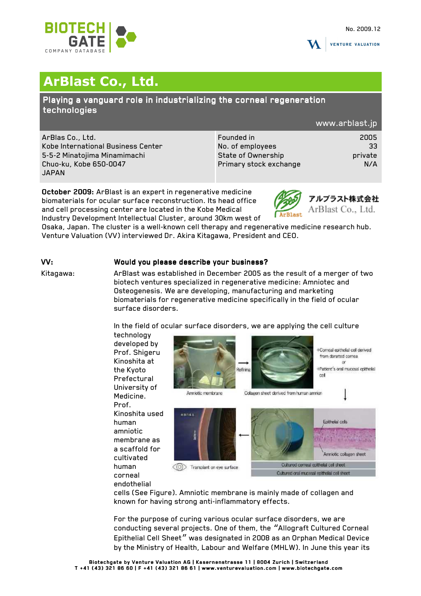



**VENTURE VALUATION** 

# **ArBlast Co., Ltd.**

Playing a vanguard role in industrializing the corneal regeneration technologies

### www.arblast.jp

ArBlas Co., Ltd. Kobe International Business Center 5-5-2 Minatojima Minamimachi Chuo-ku, Kobe 650-0047 JAPAN

| Founded in             | 2005    |
|------------------------|---------|
|                        |         |
| No. of employees       | 33      |
| State of Ownership     | private |
| Primary stock exchange | N/A     |
|                        |         |

October 2009: ArBlast is an expert in regenerative medicine biomaterials for ocular surface reconstruction. Its head office and cell processing center are located in the Kobe Medical Industry Development Intellectual Cluster, around 30km west of



Osaka, Japan. The cluster is a well-known cell therapy and regenerative medicine research hub. Venture Valuation (VV) interviewed Dr. Akira Kitagawa, President and CEO.

# VV: Would you please describe your business?

Kitagawa: ArBlast was established in December 2005 as the result of a merger of two biotech ventures specialized in regenerative medicine: Amniotec and Osteogenesis. We are developing, manufacturing and marketing biomaterials for regenerative medicine specifically in the field of ocular surface disorders.

In the field of ocular surface disorders, we are applying the cell culture



endothelial

cells (See Figure). Amniotic membrane is mainly made of collagen and known for having strong anti-inflammatory effects.

For the purpose of curing various ocular surface disorders, we are conducting several projects. One of them, the "Allograft Cultured Corneal Epithelial Cell Sheet" was designated in 2008 as an Orphan Medical Device by the Ministry of Health, Labour and Welfare (MHLW). In June this year its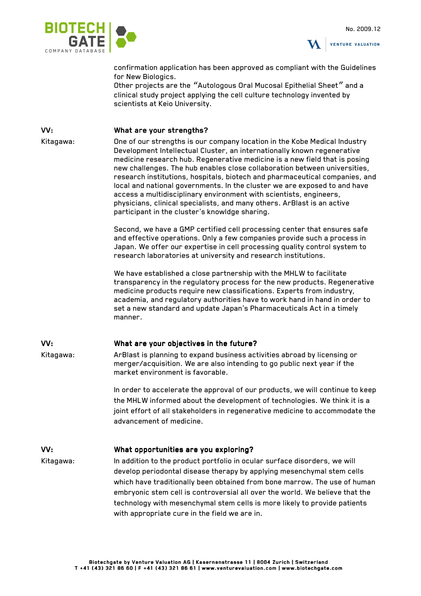



confirmation application has been approved as compliant with the Guidelines for New Biologics.

Other projects are the "Autologous Oral Mucosal Epithelial Sheet" and a clinical study project applying the cell culture technology invented by scientists at Keio University.

### VV: What are your strengths?

Kitagawa: One of our strengths is our company location in the Kobe Medical Industry Development Intellectual Cluster, an internationally known regenerative medicine research hub. Regenerative medicine is a new field that is posing new challenges. The hub enables close collaboration between universities, research institutions, hospitals, biotech and pharmaceutical companies, and local and national governments. In the cluster we are exposed to and have access a multidisciplinary environment with scientists, engineers, physicians, clinical specialists, and many others. ArBlast is an active participant in the cluster's knowldge sharing.

> Second, we have a GMP certified cell processing center that ensures safe and effective operations. Only a few companies provide such a process in Japan. We offer our expertise in cell processing quality control system to research laboratories at university and research institutions.

We have established a close partnership with the MHLW to facilitate transparency in the regulatory process for the new products. Regenerative medicine products require new classifications. Experts from industry, academia, and regulatory authorities have to work hand in hand in order to set a new standard and update Japan's Pharmaceuticals Act in a timely manner.

### VV: What are your objectives in the future?

Kitagawa: ArBlast is planning to expand business activities abroad by licensing or merger/acquisition. We are also intending to go public next year if the market environment is favorable.

> In order to accelerate the approval of our products, we will continue to keep the MHLW informed about the development of technologies. We think it is a joint effort of all stakeholders in regenerative medicine to accommodate the advancement of medicine.

### VV: What opportunities are you exploring?

Kitagawa: In addition to the product portfolio in ocular surface disorders, we will develop periodontal disease therapy by applying mesenchymal stem cells which have traditionally been obtained from bone marrow. The use of human embryonic stem cell is controversial all over the world. We believe that the technology with mesenchymal stem cells is more likely to provide patients with appropriate cure in the field we are in.